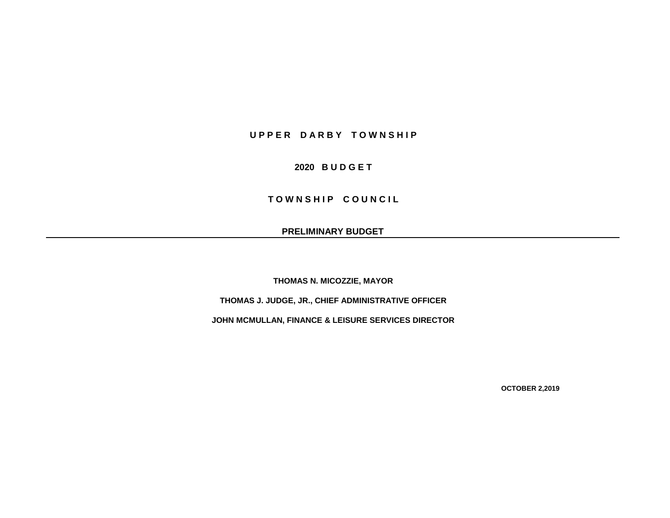## **U P P E R D A R B Y T O W N S H I P**

## **2020 B U D G E T**

**TOWNSHIP COUNCIL** 

**PRELIMINARY BUDGET**

**THOMAS N. MICOZZIE, MAYOR**

**THOMAS J. JUDGE, JR., CHIEF ADMINISTRATIVE OFFICER**

**JOHN MCMULLAN, FINANCE & LEISURE SERVICES DIRECTOR**

**OCTOBER 2,2019**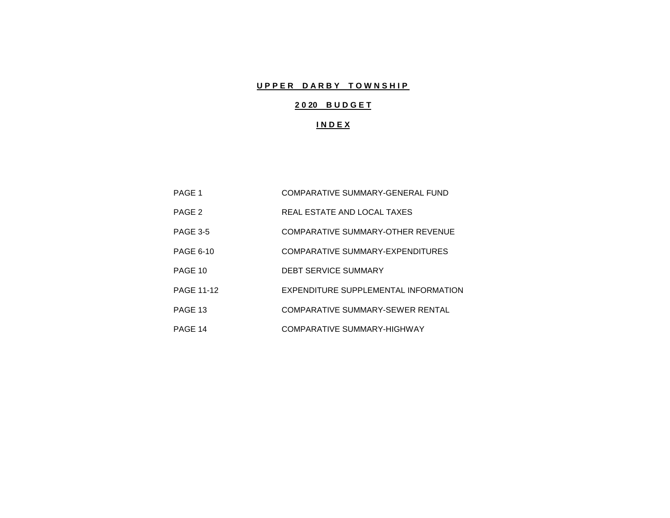# **UPPER DARBY TOWNSHIP**

# **2 0 20 B U D G E T**

## **I N D E X**

| PAGE 1            | COMPARATIVE SUMMARY-GENERAL FUND     |
|-------------------|--------------------------------------|
| PAGE 2            | REAL ESTATE AND LOCAL TAXES          |
| <b>PAGE 3-5</b>   | COMPARATIVE SUMMARY-OTHER REVENUE    |
| <b>PAGE 6-10</b>  | COMPARATIVE SUMMARY-EXPENDITURES     |
| PAGE 10           | <b>DEBT SERVICE SUMMARY</b>          |
| <b>PAGE 11-12</b> | EXPENDITURE SUPPLEMENTAL INFORMATION |
| PAGE 13           | COMPARATIVE SUMMARY-SEWER RENTAL     |
| PAGE 14           | COMPARATIVE SUMMARY-HIGHWAY          |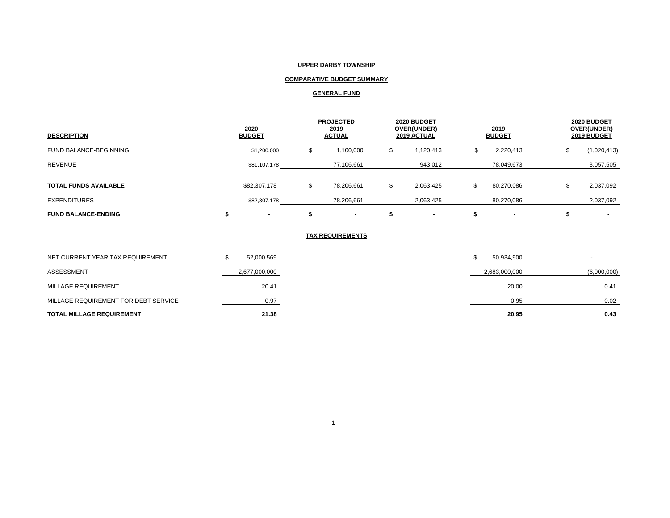### **UPPER DARBY TOWNSHIP**

## **COMPARATIVE BUDGET SUMMARY**

### **GENERAL FUND**

| <b>DESCRIPTION</b>           | 2020<br><b>BUDGET</b> |              |        | <b>PROJECTED</b><br>2019<br><b>ACTUAL</b> | 2020 BUDGET<br>OVER(UNDER)<br>2019 ACTUAL |           | 2019<br><b>BUDGET</b> |            | 2020 BUDGET<br>OVER(UNDER)<br>2019 BUDGET |             |
|------------------------------|-----------------------|--------------|--------|-------------------------------------------|-------------------------------------------|-----------|-----------------------|------------|-------------------------------------------|-------------|
| FUND BALANCE-BEGINNING       |                       | \$1,200,000  | a<br>D | 1,100,000                                 | S                                         | 1,120,413 | ה.                    | 2,220,413  |                                           | (1,020,413) |
| <b>REVENUE</b>               |                       | \$81,107,178 |        | 77,106,661                                |                                           | 943,012   |                       | 78,049,673 |                                           | 3,057,505   |
| <b>TOTAL FUNDS AVAILABLE</b> |                       | \$82,307,178 | \$     | 78,206,661                                |                                           | 2,063,425 | S                     | 80,270,086 |                                           | 2,037,092   |
| <b>EXPENDITURES</b>          |                       | \$82,307,178 |        | 78,206,661                                |                                           | 2,063,425 |                       | 80,270,086 |                                           | 2,037,092   |
| <b>FUND BALANCE-ENDING</b>   |                       |              |        |                                           |                                           |           |                       |            |                                           |             |

#### **TAX REQUIREMENTS**

| <b>TOTAL MILLAGE REQUIREMENT</b>     | 21.38         | 20.95         | 0.43        |
|--------------------------------------|---------------|---------------|-------------|
| MILLAGE REQUIREMENT FOR DEBT SERVICE | 0.97          | 0.95          | 0.02        |
| MILLAGE REQUIREMENT                  | 20.41         | 20.00         | 0.41        |
| ASSESSMENT                           | 2,677,000,000 | 2,683,000,000 | (6,000,000) |
| NET CURRENT YEAR TAX REQUIREMENT     | 52,000,569    | 50,934,900    |             |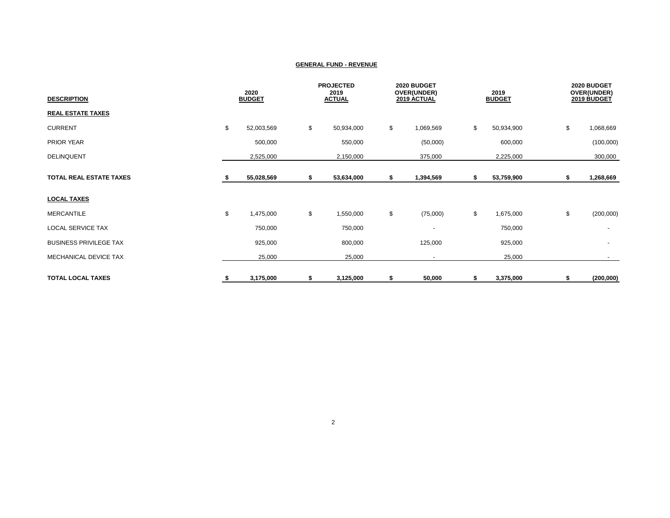| <b>DESCRIPTION</b>             | 2020<br><b>BUDGET</b> |            | <b>PROJECTED</b><br>2019<br><b>ACTUAL</b> |    | 2020 BUDGET<br>OVER(UNDER)<br>2019 ACTUAL |    | 2019<br><b>BUDGET</b> |    | 2020 BUDGET<br>OVER(UNDER)<br>2019 BUDGET |  |
|--------------------------------|-----------------------|------------|-------------------------------------------|----|-------------------------------------------|----|-----------------------|----|-------------------------------------------|--|
| <b>REAL ESTATE TAXES</b>       |                       |            |                                           |    |                                           |    |                       |    |                                           |  |
| <b>CURRENT</b>                 | \$                    | 52,003,569 | \$<br>50,934,000                          | \$ | 1,069,569                                 | \$ | 50,934,900            | \$ | 1,068,669                                 |  |
| PRIOR YEAR                     |                       | 500,000    | 550,000                                   |    | (50,000)                                  |    | 600,000               |    | (100,000)                                 |  |
| DELINQUENT                     |                       | 2,525,000  | 2,150,000                                 |    | 375,000                                   |    | 2,225,000             |    | 300,000                                   |  |
| <b>TOTAL REAL ESTATE TAXES</b> |                       | 55,028,569 | \$<br>53,634,000                          | \$ | 1,394,569                                 | \$ | 53,759,900            | \$ | 1,268,669                                 |  |
| <b>LOCAL TAXES</b>             |                       |            |                                           |    |                                           |    |                       |    |                                           |  |
| <b>MERCANTILE</b>              | \$                    | 1,475,000  | \$<br>1,550,000                           | \$ | (75,000)                                  | \$ | 1,675,000             | \$ | (200,000)                                 |  |
| <b>LOCAL SERVICE TAX</b>       |                       | 750,000    | 750,000                                   |    | $\overline{\phantom{a}}$                  |    | 750,000               |    |                                           |  |
| <b>BUSINESS PRIVILEGE TAX</b>  |                       | 925,000    | 800,000                                   |    | 125,000                                   |    | 925,000               |    | $\overline{\phantom{a}}$                  |  |
| MECHANICAL DEVICE TAX          |                       | 25,000     | 25,000                                    |    | $\overline{\phantom{a}}$                  |    | 25,000                |    | $\sim$                                    |  |
| <b>TOTAL LOCAL TAXES</b>       | - 56                  | 3,175,000  | \$<br>3,125,000                           | \$ | 50,000                                    | \$ | 3,375,000             | \$ | (200,000)                                 |  |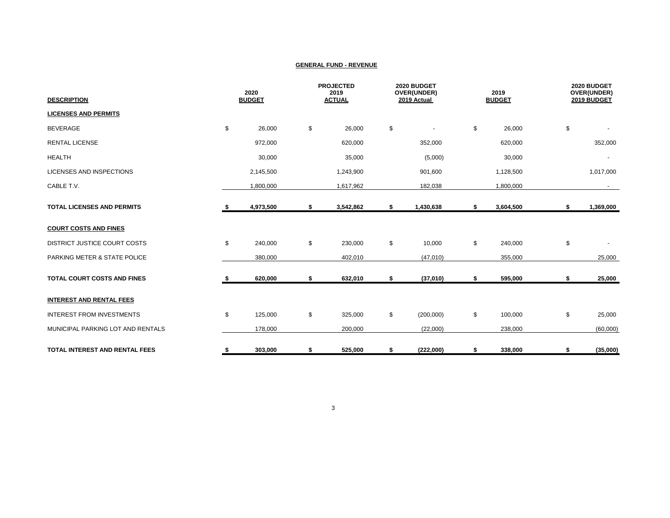| <b>DESCRIPTION</b>                 | 2020<br><b>BUDGET</b> |           | <b>PROJECTED</b><br>2019<br><b>ACTUAL</b> |           | 2020 BUDGET<br>OVER(UNDER)<br>2019 Actual |           | 2019<br><b>BUDGET</b> |           | 2020 BUDGET<br>OVER(UNDER)<br>2019 BUDGET |           |
|------------------------------------|-----------------------|-----------|-------------------------------------------|-----------|-------------------------------------------|-----------|-----------------------|-----------|-------------------------------------------|-----------|
| <b>LICENSES AND PERMITS</b>        |                       |           |                                           |           |                                           |           |                       |           |                                           |           |
| <b>BEVERAGE</b>                    | \$                    | 26,000    | \$                                        | 26,000    | \$                                        |           | \$                    | 26,000    | \$                                        |           |
| <b>RENTAL LICENSE</b>              |                       | 972,000   |                                           | 620,000   |                                           | 352,000   |                       | 620,000   |                                           | 352,000   |
| <b>HEALTH</b>                      |                       | 30,000    |                                           | 35,000    |                                           | (5,000)   |                       | 30,000    |                                           |           |
| <b>LICENSES AND INSPECTIONS</b>    |                       | 2,145,500 |                                           | 1,243,900 |                                           | 901,600   |                       | 1,128,500 |                                           | 1,017,000 |
| CABLE T.V.                         |                       | 1,800,000 |                                           | 1,617,962 |                                           | 182,038   |                       | 1,800,000 |                                           |           |
| <b>TOTAL LICENSES AND PERMITS</b>  | - 5                   | 4,973,500 | \$                                        | 3,542,862 | \$                                        | 1,430,638 | \$                    | 3,604,500 | \$                                        | 1,369,000 |
| <b>COURT COSTS AND FINES</b>       |                       |           |                                           |           |                                           |           |                       |           |                                           |           |
| DISTRICT JUSTICE COURT COSTS       | \$                    | 240,000   | \$                                        | 230,000   | \$                                        | 10,000    | \$                    | 240,000   | \$                                        |           |
| PARKING METER & STATE POLICE       |                       | 380,000   |                                           | 402,010   |                                           | (47,010)  |                       | 355,000   |                                           | 25,000    |
| <b>TOTAL COURT COSTS AND FINES</b> |                       | 620,000   | \$                                        | 632,010   | \$                                        | (37,010)  | \$                    | 595,000   | \$                                        | 25,000    |
| <b>INTEREST AND RENTAL FEES</b>    |                       |           |                                           |           |                                           |           |                       |           |                                           |           |
| <b>INTEREST FROM INVESTMENTS</b>   | \$                    | 125,000   | \$                                        | 325,000   | \$                                        | (200,000) | \$                    | 100,000   | \$                                        | 25,000    |
| MUNICIPAL PARKING LOT AND RENTALS  |                       | 178,000   |                                           | 200,000   |                                           | (22,000)  |                       | 238,000   |                                           | (60,000)  |
| TOTAL INTEREST AND RENTAL FEES     | \$                    | 303,000   | \$                                        | 525,000   | \$                                        | (222,000) | \$                    | 338,000   | \$                                        | (35,000)  |

3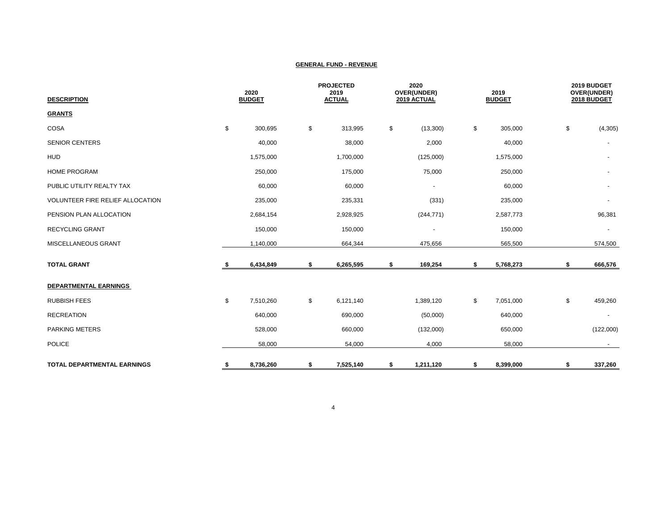| <b>DESCRIPTION</b>                 |    | 2020<br><b>BUDGET</b> |    | <b>PROJECTED</b><br>2019<br><b>ACTUAL</b> |    | 2020<br>OVER(UNDER)<br>2019 ACTUAL |    | 2019<br><b>BUDGET</b> |    | 2019 BUDGET<br>OVER(UNDER)<br>2018 BUDGET |  |
|------------------------------------|----|-----------------------|----|-------------------------------------------|----|------------------------------------|----|-----------------------|----|-------------------------------------------|--|
| <b>GRANTS</b>                      |    |                       |    |                                           |    |                                    |    |                       |    |                                           |  |
| COSA                               | \$ | 300,695               | \$ | 313,995                                   | \$ | (13,300)                           | \$ | 305,000               | \$ | (4, 305)                                  |  |
| <b>SENIOR CENTERS</b>              |    | 40,000                |    | 38,000                                    |    | 2,000                              |    | 40,000                |    |                                           |  |
| <b>HUD</b>                         |    | 1,575,000             |    | 1,700,000                                 |    | (125,000)                          |    | 1,575,000             |    |                                           |  |
| <b>HOME PROGRAM</b>                |    | 250,000               |    | 175,000                                   |    | 75,000                             |    | 250,000               |    | $\overline{\phantom{a}}$                  |  |
| PUBLIC UTILITY REALTY TAX          |    | 60,000                |    | 60,000                                    |    | $\overline{\phantom{a}}$           |    | 60,000                |    | $\overline{\phantom{a}}$                  |  |
| VOLUNTEER FIRE RELIEF ALLOCATION   |    | 235,000               |    | 235,331                                   |    | (331)                              |    | 235,000               |    | $\overline{\phantom{a}}$                  |  |
| PENSION PLAN ALLOCATION            |    | 2,684,154             |    | 2,928,925                                 |    | (244, 771)                         |    | 2,587,773             |    | 96,381                                    |  |
| <b>RECYCLING GRANT</b>             |    | 150,000               |    | 150,000                                   |    | $\overline{\phantom{a}}$           |    | 150,000               |    | $\overline{\phantom{a}}$                  |  |
| MISCELLANEOUS GRANT                |    | 1,140,000             |    | 664,344                                   |    | 475,656                            |    | 565,500               |    | 574,500                                   |  |
| <b>TOTAL GRANT</b>                 | -S | 6,434,849             | \$ | 6,265,595                                 | \$ | 169,254                            | \$ | 5,768,273             | \$ | 666,576                                   |  |
| <b>DEPARTMENTAL EARNINGS</b>       |    |                       |    |                                           |    |                                    |    |                       |    |                                           |  |
| <b>RUBBISH FEES</b>                | \$ | 7,510,260             | \$ | 6,121,140                                 |    | 1,389,120                          | \$ | 7,051,000             | \$ | 459,260                                   |  |
| <b>RECREATION</b>                  |    | 640,000               |    | 690,000                                   |    | (50,000)                           |    | 640,000               |    |                                           |  |
| <b>PARKING METERS</b>              |    | 528,000               |    | 660,000                                   |    | (132,000)                          |    | 650,000               |    | (122,000)                                 |  |
| <b>POLICE</b>                      |    | 58,000                |    | 54,000                                    |    | 4,000                              |    | 58,000                |    | $\sim$                                    |  |
| <b>TOTAL DEPARTMENTAL EARNINGS</b> | \$ | 8,736,260             | \$ | 7,525,140                                 | \$ | 1,211,120                          | \$ | 8,399,000             | \$ | 337,260                                   |  |

4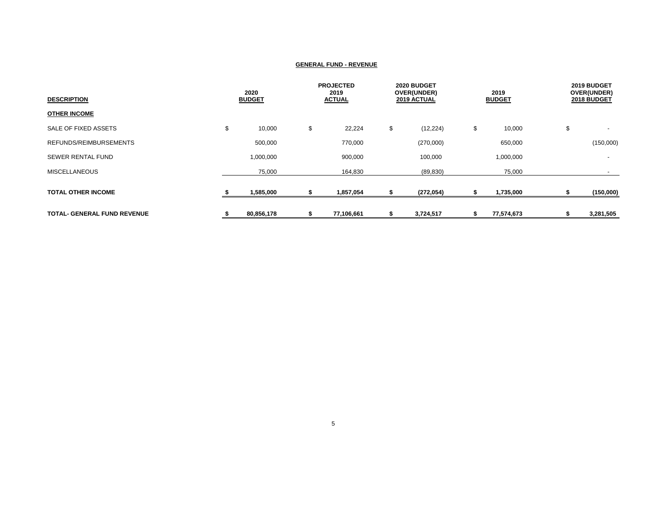| <b>DESCRIPTION</b>                 | 2020<br><b>BUDGET</b> |    | <b>PROJECTED</b><br>2019<br><b>ACTUAL</b> |    | 2020 BUDGET<br>OVER(UNDER)<br>2019 ACTUAL |    | 2019<br><b>BUDGET</b> | 2019 BUDGET<br>OVER(UNDER)<br>2018 BUDGET |                          |
|------------------------------------|-----------------------|----|-------------------------------------------|----|-------------------------------------------|----|-----------------------|-------------------------------------------|--------------------------|
| <b>OTHER INCOME</b>                |                       |    |                                           |    |                                           |    |                       |                                           |                          |
| SALE OF FIXED ASSETS               | \$<br>10,000          | \$ | 22,224                                    | \$ | (12, 224)                                 | \$ | 10,000                | \$                                        | $\overline{\phantom{a}}$ |
| REFUNDS/REIMBURSEMENTS             | 500,000               |    | 770,000                                   |    | (270,000)                                 |    | 650,000               |                                           | (150,000)                |
| SEWER RENTAL FUND                  | 1,000,000             |    | 900,000                                   |    | 100,000                                   |    | 1,000,000             |                                           | $\overline{\phantom{a}}$ |
| <b>MISCELLANEOUS</b>               | 75,000                |    | 164,830                                   |    | (89, 830)                                 |    | 75,000                |                                           |                          |
| <b>TOTAL OTHER INCOME</b>          | 1,585,000             |    | 1,857,054                                 |    | (272, 054)                                |    | 1,735,000             |                                           | (150,000)                |
| <b>TOTAL- GENERAL FUND REVENUE</b> | 80,856,178            |    | 77,106,661                                |    | 3,724,517                                 | S  | 77,574,673            |                                           | 3,281,505                |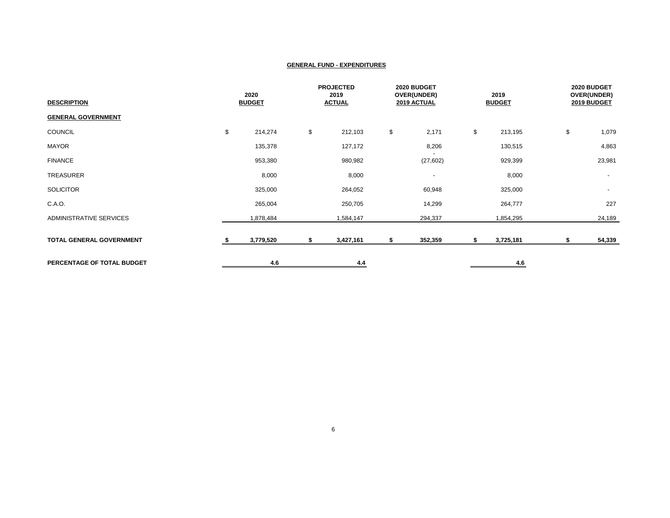| <b>DESCRIPTION</b>         | 2020<br><b>BUDGET</b> |    | <b>PROJECTED</b><br>2019<br><b>ACTUAL</b> |    | 2020 BUDGET<br>OVER(UNDER)<br>2019 ACTUAL |    | 2019<br><b>BUDGET</b> |    | 2020 BUDGET<br>OVER(UNDER)<br>2019 BUDGET |  |
|----------------------------|-----------------------|----|-------------------------------------------|----|-------------------------------------------|----|-----------------------|----|-------------------------------------------|--|
| <b>GENERAL GOVERNMENT</b>  |                       |    |                                           |    |                                           |    |                       |    |                                           |  |
| <b>COUNCIL</b>             | \$<br>214,274         | \$ | 212,103                                   | \$ | 2,171                                     | \$ | 213,195               | \$ | 1,079                                     |  |
| <b>MAYOR</b>               | 135,378               |    | 127,172                                   |    | 8,206                                     |    | 130,515               |    | 4,863                                     |  |
| <b>FINANCE</b>             | 953,380               |    | 980,982                                   |    | (27, 602)                                 |    | 929,399               |    | 23,981                                    |  |
| TREASURER                  | 8,000                 |    | 8,000                                     |    | $\overline{\phantom{a}}$                  |    | 8,000                 |    | $\sim$                                    |  |
| <b>SOLICITOR</b>           | 325,000               |    | 264,052                                   |    | 60,948                                    |    | 325,000               |    | $\sim$                                    |  |
| C.A.O.                     | 265,004               |    | 250,705                                   |    | 14,299                                    |    | 264,777               |    | 227                                       |  |
| ADMINISTRATIVE SERVICES    | 1,878,484             |    | 1,584,147                                 |    | 294,337                                   |    | 1,854,295             |    | 24,189                                    |  |
| TOTAL GENERAL GOVERNMENT   | 3,779,520             | \$ | 3,427,161                                 | S  | 352,359                                   | s. | 3,725,181             | Ъ  | 54,339                                    |  |
| PERCENTAGE OF TOTAL BUDGET | 4.6                   |    | 4.4                                       |    |                                           |    | 4.6                   |    |                                           |  |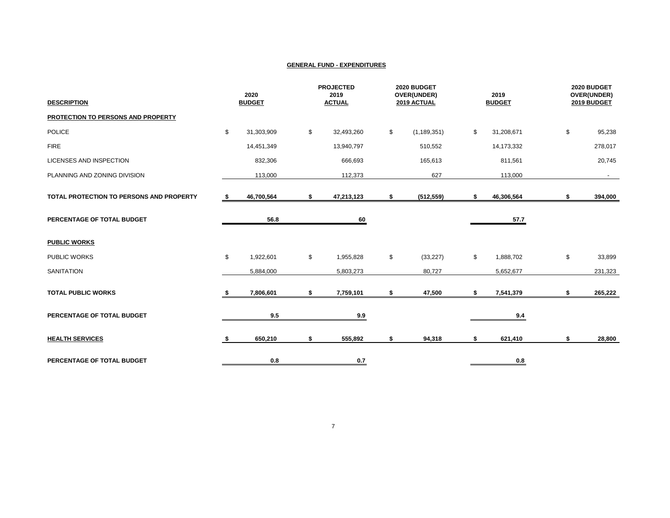| <b>DESCRIPTION</b>                       |      | 2020<br><b>BUDGET</b> | <b>PROJECTED</b><br>2019<br><b>ACTUAL</b> | 2020 BUDGET<br>OVER(UNDER)<br>2019 ACTUAL | 2019<br><b>BUDGET</b> | 2020 BUDGET<br>OVER(UNDER)<br>2019 BUDGET |
|------------------------------------------|------|-----------------------|-------------------------------------------|-------------------------------------------|-----------------------|-------------------------------------------|
| PROTECTION TO PERSONS AND PROPERTY       |      |                       |                                           |                                           |                       |                                           |
| <b>POLICE</b>                            | \$   | 31,303,909            | \$<br>32,493,260                          | \$<br>(1, 189, 351)                       | \$<br>31,208,671      | \$<br>95,238                              |
| <b>FIRE</b>                              |      | 14,451,349            | 13,940,797                                | 510,552                                   | 14,173,332            | 278,017                                   |
| LICENSES AND INSPECTION                  |      | 832,306               | 666,693                                   | 165,613                                   | 811,561               | 20,745                                    |
| PLANNING AND ZONING DIVISION             |      | 113,000               | 112,373                                   | 627                                       | 113,000               | $\sim$                                    |
| TOTAL PROTECTION TO PERSONS AND PROPERTY | - \$ | 46,700,564            | \$<br>47,213,123                          | \$<br>(512, 559)                          | \$<br>46,306,564      | \$<br>394,000                             |
| PERCENTAGE OF TOTAL BUDGET               |      | 56.8                  | 60                                        |                                           | 57.7                  |                                           |
| <b>PUBLIC WORKS</b>                      |      |                       |                                           |                                           |                       |                                           |
| PUBLIC WORKS                             | \$   | 1,922,601             | \$<br>1,955,828                           | \$<br>(33, 227)                           | \$<br>1,888,702       | \$<br>33,899                              |
| <b>SANITATION</b>                        |      | 5,884,000             | 5,803,273                                 | 80,727                                    | 5,652,677             | 231,323                                   |
| <b>TOTAL PUBLIC WORKS</b>                |      | 7,806,601             | \$<br>7,759,101                           | \$<br>47,500                              | \$<br>7,541,379       | \$<br>265,222                             |
| PERCENTAGE OF TOTAL BUDGET               |      | 9.5                   | 9.9                                       |                                           | 9.4                   |                                           |
| <b>HEALTH SERVICES</b>                   | \$   | 650,210               | \$<br>555,892                             | \$<br>94,318                              | \$<br>621,410         | \$<br>28,800                              |
| PERCENTAGE OF TOTAL BUDGET               |      | 0.8                   | 0.7                                       |                                           | 0.8                   |                                           |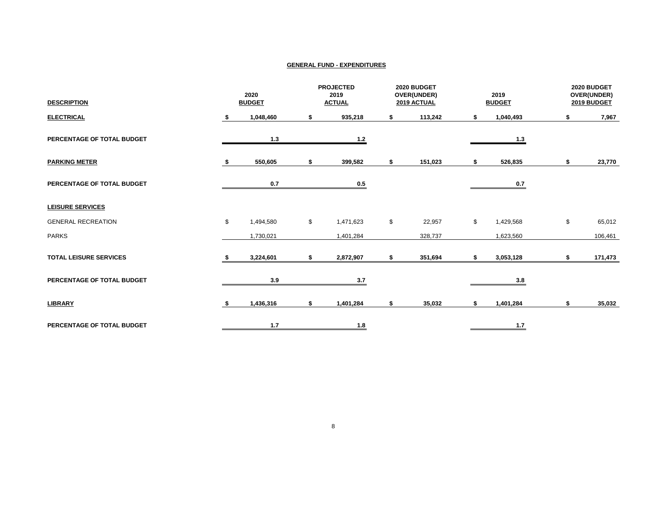| <b>DESCRIPTION</b>            | 2020<br><b>BUDGET</b> |           | <b>PROJECTED</b><br>2019<br><b>ACTUAL</b> |           | 2020 BUDGET<br><b>OVER(UNDER)</b><br>2019 ACTUAL |         | 2019<br><b>BUDGET</b> | 2020 BUDGET<br>OVER(UNDER)<br>2019 BUDGET |         |
|-------------------------------|-----------------------|-----------|-------------------------------------------|-----------|--------------------------------------------------|---------|-----------------------|-------------------------------------------|---------|
| <b>ELECTRICAL</b>             | s.                    | 1,048,460 | \$                                        | 935,218   | \$                                               | 113,242 | \$<br>1,040,493       | S                                         | 7,967   |
| PERCENTAGE OF TOTAL BUDGET    |                       | 1.3       |                                           | $1.2$     |                                                  |         | 1.3                   |                                           |         |
| <b>PARKING METER</b>          |                       | 550,605   | \$                                        | 399,582   | \$                                               | 151,023 | 526,835               | \$                                        | 23,770  |
| PERCENTAGE OF TOTAL BUDGET    |                       | 0.7       |                                           | 0.5       |                                                  |         | 0.7                   |                                           |         |
| <b>LEISURE SERVICES</b>       |                       |           |                                           |           |                                                  |         |                       |                                           |         |
| <b>GENERAL RECREATION</b>     | \$                    | 1,494,580 | \$                                        | 1,471,623 | \$                                               | 22,957  | \$<br>1,429,568       | \$                                        | 65,012  |
| <b>PARKS</b>                  |                       | 1,730,021 |                                           | 1,401,284 |                                                  | 328,737 | 1,623,560             |                                           | 106,461 |
| <b>TOTAL LEISURE SERVICES</b> |                       | 3,224,601 | \$                                        | 2,872,907 | \$                                               | 351,694 | \$<br>3,053,128       | \$                                        | 171,473 |
| PERCENTAGE OF TOTAL BUDGET    |                       | 3.9       |                                           | 3.7       |                                                  |         | 3.8                   |                                           |         |
| <b>LIBRARY</b>                | s.                    | 1,436,316 | \$                                        | 1,401,284 | \$                                               | 35,032  | \$<br>1,401,284       | \$                                        | 35,032  |
| PERCENTAGE OF TOTAL BUDGET    |                       | 1.7       |                                           | 1.8       |                                                  |         | 1.7                   |                                           |         |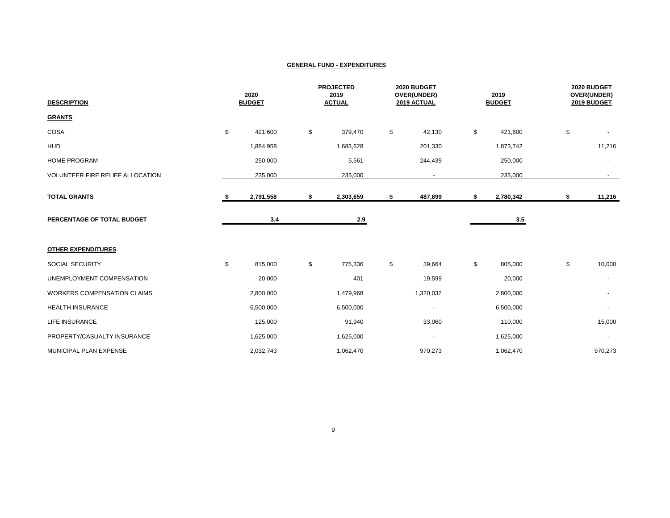| <b>DESCRIPTION</b>                 |    | 2020<br><b>BUDGET</b> |    | <b>PROJECTED</b><br>2019<br><b>ACTUAL</b> |    | 2020 BUDGET<br>OVER(UNDER)<br>2019 ACTUAL | 2019<br><b>BUDGET</b> |           | 2020 BUDGET<br>OVER(UNDER)<br>2019 BUDGET |                          |
|------------------------------------|----|-----------------------|----|-------------------------------------------|----|-------------------------------------------|-----------------------|-----------|-------------------------------------------|--------------------------|
| <b>GRANTS</b>                      |    |                       |    |                                           |    |                                           |                       |           |                                           |                          |
| COSA                               | \$ | 421,600               | \$ | 379,470                                   | \$ | 42,130                                    | \$                    | 421,600   | \$                                        |                          |
| <b>HUD</b>                         |    | 1,884,958             |    | 1,683,628                                 |    | 201,330                                   |                       | 1,873,742 |                                           | 11,216                   |
| <b>HOME PROGRAM</b>                |    | 250,000               |    | 5,561                                     |    | 244,439                                   |                       | 250,000   |                                           | $\overline{\phantom{a}}$ |
| VOLUNTEER FIRE RELIEF ALLOCATION   |    | 235,000               |    | 235,000                                   |    | $\sim$                                    |                       | 235,000   |                                           | $\sim$                   |
| <b>TOTAL GRANTS</b>                | S. | 2,791,558             | \$ | 2,303,659                                 | \$ | 487,899                                   | \$                    | 2,780,342 | \$                                        | 11,216                   |
| PERCENTAGE OF TOTAL BUDGET         |    | 3.4                   |    | 2.9                                       |    |                                           |                       | 3.5       |                                           |                          |
| <b>OTHER EXPENDITURES</b>          |    |                       |    |                                           |    |                                           |                       |           |                                           |                          |
| SOCIAL SECURITY                    | \$ | 815,000               | \$ | 775,336                                   | \$ | 39,664                                    | \$                    | 805,000   | \$                                        | 10,000                   |
| UNEMPLOYMENT COMPENSATION          |    | 20,000                |    | 401                                       |    | 19,599                                    |                       | 20,000    |                                           |                          |
| <b>WORKERS COMPENSATION CLAIMS</b> |    | 2,800,000             |    | 1,479,968                                 |    | 1,320,032                                 |                       | 2,800,000 |                                           | $\overline{\phantom{a}}$ |
| <b>HEALTH INSURANCE</b>            |    | 6,500,000             |    | 6,500,000                                 |    | $\overline{\phantom{a}}$                  |                       | 6,500,000 |                                           |                          |
| <b>LIFE INSURANCE</b>              |    | 125,000               |    | 91,940                                    |    | 33,060                                    |                       | 110,000   |                                           | 15,000                   |
| PROPERTY/CASUALTY INSURANCE        |    | 1,625,000             |    | 1,625,000                                 |    | $\overline{\phantom{a}}$                  |                       | 1,625,000 |                                           | $\overline{\phantom{a}}$ |
| MUNICIPAL PLAN EXPENSE             |    | 2,032,743             |    | 1,062,470                                 |    | 970,273                                   |                       | 1,062,470 |                                           | 970,273                  |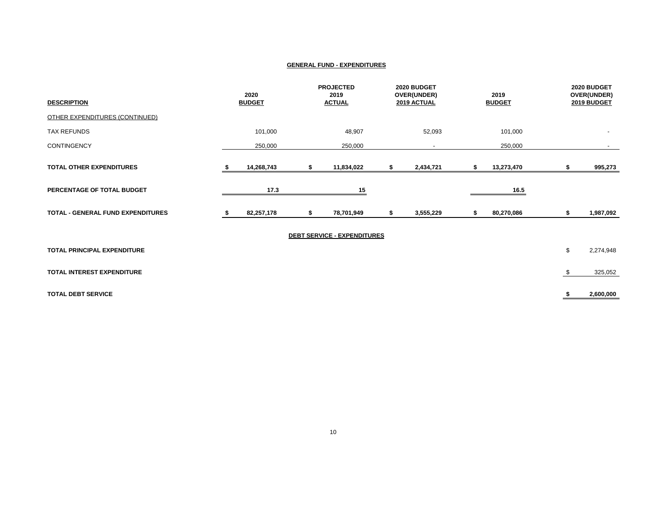| <b>DESCRIPTION</b>                       | 2020<br><b>BUDGET</b> | <b>PROJECTED</b><br>2019<br><b>ACTUAL</b> | 2020 BUDGET<br>OVER(UNDER)<br>2019 ACTUAL |    | 2019<br><b>BUDGET</b> | 2020 BUDGET<br>OVER(UNDER)<br>2019 BUDGET |
|------------------------------------------|-----------------------|-------------------------------------------|-------------------------------------------|----|-----------------------|-------------------------------------------|
| OTHER EXPENDITURES (CONTINUED)           |                       |                                           |                                           |    |                       |                                           |
| <b>TAX REFUNDS</b>                       | 101,000               | 48,907                                    | 52,093                                    |    | 101,000               |                                           |
| <b>CONTINGENCY</b>                       | 250,000               | 250,000                                   |                                           |    | 250,000               | $\sim$                                    |
| TOTAL OTHER EXPENDITURES                 | 14,268,743            | \$<br>11,834,022                          | 2,434,721                                 | \$ | 13,273,470            | \$<br>995,273                             |
| PERCENTAGE OF TOTAL BUDGET               | 17.3                  | 15                                        |                                           |    | 16.5                  |                                           |
| <b>TOTAL - GENERAL FUND EXPENDITURES</b> | 82,257,178            | \$<br>78,701,949                          | \$<br>3,555,229                           | S  | 80,270,086            | \$<br>1,987,092                           |
|                                          |                       | <b>DEBT SERVICE - EXPENDITURES</b>        |                                           |    |                       |                                           |
| TOTAL PRINCIPAL EXPENDITURE              |                       |                                           |                                           |    |                       | \$<br>2,274,948                           |
| TOTAL INTEREST EXPENDITURE               |                       |                                           |                                           |    |                       | \$<br>325,052                             |
| <b>TOTAL DEBT SERVICE</b>                |                       |                                           |                                           |    |                       | 2,600,000                                 |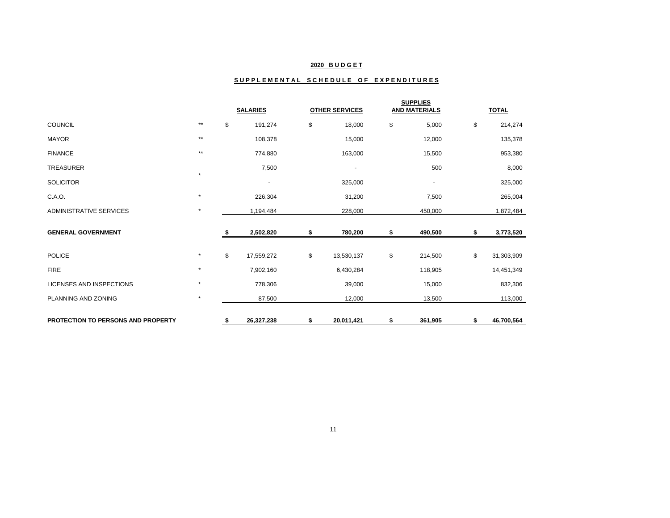## **2020 B U D G E T**

## SUPPLEMENTAL SCHEDULE OF EXPENDITURES

|                                    |         | <b>SALARIES</b> |                          | <b>OTHER SERVICES</b>    | <b>SUPPLIES</b><br><b>AND MATERIALS</b> | <b>TOTAL</b> |            |  |
|------------------------------------|---------|-----------------|--------------------------|--------------------------|-----------------------------------------|--------------|------------|--|
| <b>COUNCIL</b>                     | $***$   | \$              | 191,274                  | \$<br>18,000             | \$<br>5,000                             | \$           | 214,274    |  |
| <b>MAYOR</b>                       | $***$   |                 | 108,378                  | 15,000                   | 12,000                                  |              | 135,378    |  |
| <b>FINANCE</b>                     | $***$   |                 | 774,880                  | 163,000                  | 15,500                                  |              | 953,380    |  |
| <b>TREASURER</b>                   |         |                 | 7,500                    | $\overline{\phantom{a}}$ | 500                                     |              | 8,000      |  |
| <b>SOLICITOR</b>                   |         |                 | $\overline{\phantom{a}}$ | 325,000                  | $\overline{\phantom{a}}$                |              | 325,000    |  |
| C.A.O.                             | $\star$ |                 | 226,304                  | 31,200                   | 7,500                                   |              | 265,004    |  |
| <b>ADMINISTRATIVE SERVICES</b>     | $\star$ |                 | 1,194,484                | 228,000                  | 450,000                                 |              | 1,872,484  |  |
| <b>GENERAL GOVERNMENT</b>          |         | s.              | 2,502,820                | \$<br>780,200            | \$<br>490,500                           | S            | 3,773,520  |  |
| <b>POLICE</b>                      | $\star$ | \$              | 17,559,272               | \$<br>13,530,137         | \$<br>214,500                           | \$           | 31,303,909 |  |
| <b>FIRE</b>                        | $\star$ |                 | 7,902,160                | 6,430,284                | 118,905                                 |              | 14,451,349 |  |
| LICENSES AND INSPECTIONS           | $\star$ |                 | 778,306                  | 39,000                   | 15,000                                  |              | 832,306    |  |
| PLANNING AND ZONING                | $\star$ |                 | 87,500                   | 12,000                   | 13,500                                  |              | 113,000    |  |
| PROTECTION TO PERSONS AND PROPERTY |         | \$              | 26,327,238               | \$<br>20,011,421         | \$<br>361,905                           | \$           | 46,700,564 |  |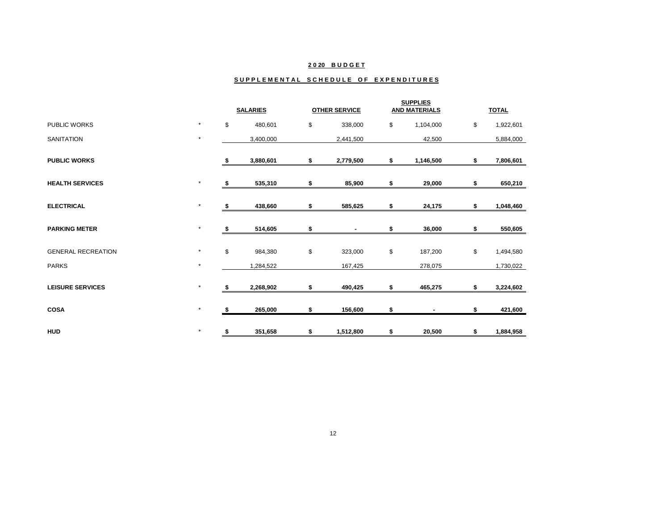## **2 0 20 B U D G E T**

#### SUPPLEMENTAL SCHEDULE OF EXPENDITURES

|                           |         | <b>SALARIES</b> |           | <b>OTHER SERVICE</b> |    | <b>SUPPLIES</b><br><b>AND MATERIALS</b> | <b>TOTAL</b> |           |  |
|---------------------------|---------|-----------------|-----------|----------------------|----|-----------------------------------------|--------------|-----------|--|
| PUBLIC WORKS              | $\star$ | \$              | 480,601   | \$<br>338,000        | \$ | 1,104,000                               | \$           | 1,922,601 |  |
| <b>SANITATION</b>         | $\star$ |                 | 3,400,000 | 2,441,500            |    | 42,500                                  |              | 5,884,000 |  |
| <b>PUBLIC WORKS</b>       |         | 5               | 3,880,601 | \$<br>2,779,500      | \$ | 1,146,500                               | \$           | 7,806,601 |  |
| <b>HEALTH SERVICES</b>    | $\star$ | \$              | 535,310   | \$<br>85,900         | \$ | 29,000                                  | \$           | 650,210   |  |
| <b>ELECTRICAL</b>         | $\star$ | S               | 438,660   | \$<br>585,625        | \$ | 24,175                                  | \$           | 1,048,460 |  |
| <b>PARKING METER</b>      | $\star$ | S               | 514,605   | \$                   | \$ | 36,000                                  | \$           | 550,605   |  |
| <b>GENERAL RECREATION</b> | $\star$ | \$              | 984,380   | \$<br>323,000        | \$ | 187,200                                 | \$           | 1,494,580 |  |
| <b>PARKS</b>              | $\star$ |                 | 1,284,522 | 167,425              |    | 278,075                                 |              | 1,730,022 |  |
| <b>LEISURE SERVICES</b>   | $\star$ | \$              | 2,268,902 | \$<br>490,425        | \$ | 465,275                                 | \$           | 3,224,602 |  |
| <b>COSA</b>               | $\star$ | \$              | 265,000   | \$<br>156,600        | \$ |                                         | \$           | 421,600   |  |
| <b>HUD</b>                | $\star$ | S               | 351,658   | \$<br>1,512,800      | S  | 20,500                                  | S            | 1,884,958 |  |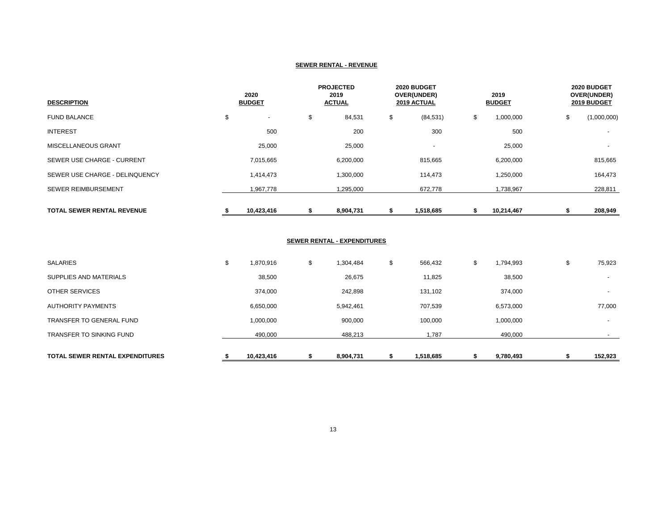#### **SEWER RENTAL - REVENUE**

| <b>DESCRIPTION</b>                | 2020<br><b>BUDGET</b> |    | <b>PROJECTED</b><br>2019<br><b>ACTUAL</b> |    | 2020 BUDGET<br>OVER(UNDER)<br><b>2019 ACTUAL</b> |    | 2019<br><b>BUDGET</b> |    | 2020 BUDGET<br>OVER(UNDER)<br>2019 BUDGET |  |
|-----------------------------------|-----------------------|----|-------------------------------------------|----|--------------------------------------------------|----|-----------------------|----|-------------------------------------------|--|
| <b>FUND BALANCE</b>               | \$                    | \$ | 84,531                                    | \$ | (84, 531)                                        | \$ | 1,000,000             | \$ | (1,000,000)                               |  |
| <b>INTEREST</b>                   | 500                   |    | 200                                       |    | 300                                              |    | 500                   |    | $\overline{\phantom{a}}$                  |  |
| <b>MISCELLANEOUS GRANT</b>        | 25,000                |    | 25,000                                    |    | $\overline{\phantom{a}}$                         |    | 25,000                |    |                                           |  |
| SEWER USE CHARGE - CURRENT        | 7,015,665             |    | 6,200,000                                 |    | 815,665                                          |    | 6,200,000             |    | 815,665                                   |  |
| SEWER USE CHARGE - DELINQUENCY    | 1,414,473             |    | 1,300,000                                 |    | 114,473                                          |    | 1,250,000             |    | 164,473                                   |  |
| <b>SEWER REIMBURSEMENT</b>        | 1,967,778             |    | 1,295,000                                 |    | 672,778                                          |    | 1,738,967             |    | 228,811                                   |  |
| <b>TOTAL SEWER RENTAL REVENUE</b> | 10,423,416            |    | 8,904,731                                 |    | 1,518,685                                        |    | 10,214,467            |    | 208,949                                   |  |

### **SEWER RENTAL - EXPENDITURES**

| <b>TOTAL SEWER RENTAL EXPENDITURES</b> |   | 10,423,416 | 8,904,731       | 1,518,685     | 9,780,493       | 152,923                  |
|----------------------------------------|---|------------|-----------------|---------------|-----------------|--------------------------|
| <b>TRANSFER TO SINKING FUND</b>        |   | 490,000    | 488,213         | 1,787         | 490,000         |                          |
| TRANSFER TO GENERAL FUND               |   | 1,000,000  | 900,000         | 100,000       | 1,000,000       | $\overline{a}$           |
| <b>AUTHORITY PAYMENTS</b>              |   | 6,650,000  | 5,942,461       | 707,539       | 6,573,000       | 77,000                   |
| <b>OTHER SERVICES</b>                  |   | 374,000    | 242,898         | 131,102       | 374,000         | $\overline{\phantom{a}}$ |
| SUPPLIES AND MATERIALS                 |   | 38,500     | 26,675          | 11,825        | 38,500          | $\overline{\phantom{a}}$ |
| <b>SALARIES</b>                        | Φ | 1,870,916  | \$<br>1,304,484 | \$<br>566,432 | \$<br>1,794,993 | \$<br>75,923             |
|                                        |   |            |                 |               |                 |                          |